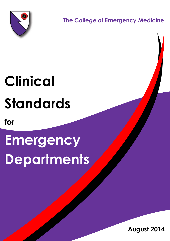

 **The College of Emergency Medicine**

# **Clinical Standards**

**for**

# **Emergency Departments**

Clinical Standards for Emergency Departments (Aug 2014) 1

**August 2014**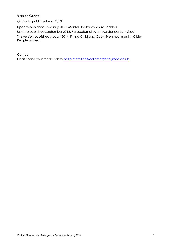## **Version Control**

Originally published Aug 2012

Update published February 2013. Mental Health standards added. Update published September 2013. Paracetamol overdose standards revised.

This version published August 2014. Fitting Child and Cognitive Impairment in Older People added.

## **Contact**

Please send your feedback to [philip.mcmillan@collemergencymed.ac.uk](mailto:philip.mcmillan@collemergencymed.ac.uk)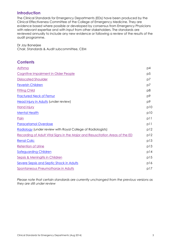## **Introduction**

The Clinical Standards for Emergency Departments (EDs) have been produced by the Clinical Effectiveness Committee of the College of Emergency Medicine. They are evidence based where possible or developed by consensus from Emergency Physicians with relevant expertise and with input from other stakeholders. The standards are reviewed annually to include any new evidence or following a review of the results of the audit programme.

Dr Jay Banerjee Chair, Standards & Audit subcommittee, CEM

| <b>Contents</b> |  |
|-----------------|--|
|                 |  |

| Asthma                                                                        | p4             |
|-------------------------------------------------------------------------------|----------------|
| <b>Cognitive Impairment in Older People</b>                                   | p <sub>5</sub> |
| <b>Dislocated Shoulder</b>                                                    | p7             |
| <b>Feverish Children</b>                                                      | p7             |
| <b>Fitting Child</b>                                                          | p8             |
| <b>Fractured Neck of Femur</b>                                                | p9             |
| Head Injury in Adults (under review)                                          | p9             |
| <b>Hand injury</b>                                                            | p10            |
| <b>Mental Health</b>                                                          | p10            |
| Pain                                                                          | p11            |
| <b>Paracetamol Overdose</b>                                                   | p11            |
| Radiology (under review with Royal College of Radiologists)                   |                |
| Recording of Adult Vital Signs in the Major and Resuscitation Areas of the ED |                |
| <b>Renal Colic</b>                                                            | p13            |
| <b>Retention of Urine</b>                                                     | p13            |
| <b>Safeguarding Children</b>                                                  |                |
| <b>Sepsis &amp; Meningitis in Children</b>                                    |                |
| <b>Severe Sepsis and Septic Shock in Adults</b>                               |                |
| <b>Spontaneous Pneumothorax in Adults</b>                                     |                |

*Please note that certain standards are currently unchanged from the previous versions as they are still under review*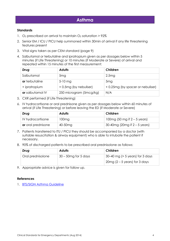## **Asthma**

#### **Standards**

- 1.  $O_2$  prescribed on arrival to maintain  $O_2$  saturation > 92%
- 2. Senior EM / ICU / PICU help summoned within 30min of arrival if any life threatening features present
- 3. Vital signs taken as per CEM standard (page 9)
- 4. Salbutamol or terbutaline and ipratropium given as per dosages below within 5 minutes (if Life Threatening) or 10 minutes (if Moderate or Severe) of arrival and repeated within 15 minutes of the first measurement:

| Drug                    | <b>Adults</b>           | Children                         |
|-------------------------|-------------------------|----------------------------------|
| Salbutamol              | 5 <sub>mg</sub>         | 2.5mg                            |
| or terbutaline          | $5 - 10$ mg             | 5 <sub>mg</sub>                  |
| + ipratropium           | + 0.5mg (by nebuliser)  | +0.25mg (by spacer or nebuliser) |
| <b>or</b> salbutamol IV | 250 microgram (5mcg/kg) | N/A                              |

- 5. CXR performed (if Life Threatening)
- 6. IV hydrocortisone or oral prednisone given as per dosages below within 60 minutes of arrival (if Life Threatening) or before leaving the ED (if Moderate or Severe)

| Drug                      | <b>Adults</b>       | Children                            |
|---------------------------|---------------------|-------------------------------------|
| IV hydrocortisone         | 100mg               | 100mg (50 mg if $2 - 5$ years)      |
| <b>or</b> oral prednisone | 40-50 <sub>mg</sub> | $\pm$ 30-40mg (20mg if 2 – 5 years) |

- 7. Patients transferred to ITU / PICU they should be accompanied by a doctor (with suitable resuscitation & airway equipment) who is able to intubate the patient if necessary.
- 8. 90% of discharged patients to be prescribed oral prednisolone as follows:

| Drug              | <b>Adults</b>           | Children                                      |
|-------------------|-------------------------|-----------------------------------------------|
| Oral prednisolone | $30 - 50$ mg for 5 days | $\frac{1}{2}$ 30–40 mg (> 5 years) for 3 days |
|                   |                         | $\vert$ 20mg (2 – 5 years) for 3 days         |

9. Appropriate advice is given for follow up.

#### **References**

1. **[BTS/SIGN Asthma Guideline](http://www.brit-thoracic.org.uk/ClinicalInformation/Asthma/AsthmaGuidelines/tabid/83/Default.aspx)**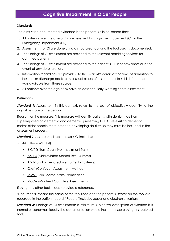## <span id="page-4-0"></span>**Cognitive Impairment in Older People**

#### **Standards**

There must be documented evidence in the patient's clinical record that:

- 1. All patients over the age of 75 are assessed for cognitive impairment (CI) in the Emergency Department (ED).
- 2. Assessments for CI are done using a structured tool and the tool used is documented.
- 3. The findings of CI assessment are provided to the relevant admitting services for admitted patients.
- 4. The findings of CI assessment are provided to the patient's GP if of new onset or in the event of any deterioration.
- 5. Information regarding CI is provided to the patient's carers at the time of admission to hospital or discharge back to their usual place of residence unless this information was available from these sources.
- 6. All patients over the age of 75 have at least one Early Warning Score assessment.

#### **Definitions**

**Standard 1:** Assessment in this context, refers to the act of objectively quantifying the cognitive state of the person.

Reason for the measure: This measure will identify patients with delirium, delirium superimposed on dementia and dementia presenting to ED. Pre-existing dementia makes older people more prone to developing delirium so they must be included in the assessment process.

*Standard 2:* A structured tool to assess CI includes:

- $\bullet$  [4AT](http://www.the4at.com/) (The 4'A's Test)
	- [6-CIT](http://www.ncbi.nlm.nih.gov/pubmed/10556864?dopt=abstract) (6 item Cognitive Impairment Test)
	- [AMT-4](http://www.ncbi.nlm.nih.gov/pubmed/9360037) (Abbreviated Mental Test 4 items)
	- [AMT-10](http://cra.curtin.edu.au/local/docs/delirium_training_package/managementofconfusionfinalmarch09/module02/amt-form.pdf) (Abbreviated Mental Test 10 items)
	- [CAM](http://consultgerirn.org/uploads/file/confusion%2520assessment%2520method%2520(cam).pdf) (Confusion Assessment Method)
	- **[MMSE](http://www.alzheimers.org.uk/site/scripts/documents_info.php?documentid=121)** (Mini Mental State Examination)
	- [MoCA](http://www.mocatest.org/) (Montreal Cognitive Assessment)

If using any other tool, please provide a reference.

'Documents' means the name of the tool used and the patient's 'score' on the tool are recorded in the patient record. "Record" includes paper and electronic versions

**Standard 3:** Findings of CI assessment: a minimum subjective description of whether it is normal or abnormal; ideally the documentation would include a score using a structured tool.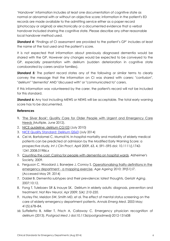'Handover' information includes at least one documentation of cognitive state as normal or abnormal with or without an objective score; information in the patient's ED records are made available to the admitting service either as a paper record (photocopy or original) or electronically or a documented evidence that a verbal handover included sharing the cognitive state. Please describe any other reasonable local handover method used.

**Standard 4:** 'Findings of CI assessment are provided to the patient's GP' includes at least the name of the tool used and the patient's score.

It is not expected that information about previously diagnosed dementia would be shared with the GP. However any changes would be expected to be conveyed to the GP, especially presentation with delirium (sudden deterioration in cognitive state corroborated by carers and/or families).

**Standard 5:** The patient record states any of the following or similar terms to clearly convey the message that the information on CI was shared with carers: "confusion", "delirium" "dementia" AND "discussed with" or "communicated to" carers.

If this information was volunteered by the carer, the patient's record will not be included for this standard.

**Standard 6:** Any tool including MEWS or NEWS will be acceptable. The total early warning score has to be documented.

- **1.** 'The Silver Book': Quality Care for Older People with Urgent and [Emergency](http://secure.collemergencymed.ac.uk/code/document.asp?id=6440) Care [Needs](http://secure.collemergencymed.ac.uk/code/document.asp?id=6440) (Multiple, June 2012).
- 2. NICE [guideline:](http://guidance.nice.org.uk/cg103/niceguidance/pdf/english) delirium CG103 (July 2010)
- 3. NICE Quality [Standard:](http://www.nice.org.uk/guidance/QS63) Delirium QS63 (July 2014)
- 4. Cei M, Bartolomei C, Mumoli N. In-hospital mortality and morbidity of elderly medical patients can be predicted at admission by the Modified Early Warning Score: a prospective study*. Int J Clin Pract*, April 2009, 63, 4, 591–595 doi: 10.1111/j.1742- 1241.2008.01986.x
- 5. Counting the cost: Caring for people with [dementia](http://alzheimers.org.uk/site/scripts/download_info.php?fileid=787) on hospital wards. Alzheimer's Society, 2009.
- 6. Ferguson C, Woodard J, Banerjee J, Conroy S. [Operationalising](http://ageing.oxfordjournals.org/cgi/reprint/39/suppl_1/i3) frailty definitions in the emergency [department](http://ageing.oxfordjournals.org/cgi/reprint/39/suppl_1/i3) - a mapping exercise. *Age Ageing* 2010; 39(S1):i7. (Accessed May 29, 2014)
- 7. Dalziel B. Dementia subtypes and their prevalence: latest thoughts. *Geriatr Aging*. 2007;10:12.
- 8. Fong T, Tulebaev SR & Inouye SK. Delirium in elderly adults: diagnosis, prevention and treatment. *Nat Rev [Neurol.](http://www.ncbi.nlm.nih.gov/entrez/eutils/elink.fcgi?dbfrom=pubmed&retmode=ref&cmd=prlinks&id=19347026) Apr 2009; 5(4): 210–220.*
- 9. Hustey FM, Meldon SW, Smith MD, et al. The effect of mental status screening on the care of elderly emergency department patients. *Annals Emerg Med*. 2003 May; 41(5):678–84.
- 10. Suffelletto B, Miller T, Frisch A, Callaway C. Emergency physician recognition of delirium (2013). *Postgrad Med J* doi:10.1136/postgradmedj-2012-131608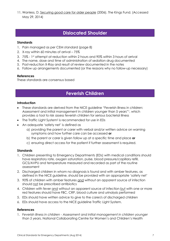11. Wanless, D. [Securing](http://www.kingsfund.org.uk/sites/files/kf/field/field_publication_file/securing-good-care-for-older-people-wanless-2006.pdf) good care for older people (2006). The Kings Fund. (Accessed May 29, 2014)

## **Dislocated Shoulder**

#### <span id="page-6-0"></span>**Standards**

- 1. Pain managed as per CEM standard (page 8)
- 2. X-ray within 60 minutes of arrival 75%
- 3. 75% 1st attempt at reduction within 2 hours and 90% within 3 hours of arrival
- 4. The name, dose and time of administration of sedation drug documented
- 5. Post-reduction X-Ray and result of review documented in the notes
- 6. Follow up arrangements documented (or the reasons why no follow-up necessary)

#### **References**

<span id="page-6-1"></span>These standards are consensus based

## **Feverish Children**

#### **Introduction**

- These standards are derived from the NICE guideline "Feverish illness in children: Assessment and initial management in children younger than 5 years"<sup>1</sup> , which provides a tool to risk assess feverish children for serious bacterial illness
- The Traffic Light System<sup>2</sup> is recommended for use in EDs
- An adequate 'safety net' is defined as
	- a) providing the parent or carer with verbal and/or written advice on warning symptoms and how further care can be accessed **or**
	- b) the parent or carer is given follow up at a specific time and place **or**
	- c) ensuring direct access for the patient if further assessment is required.

#### **Standards**

- 1. Children presenting to Emergency Departments (EDs) with medical conditions should have respiratory rate, oxygen saturation, pulse, blood pressure/capillary refill, GCS/AVPU and temperature measured and recorded as part of the routine assessment
- 2. Discharged children in whom no diagnosis is found and with amber features, as defined in the NICE guideline, should be provided with an appropriate 'safety net'
- 3. 90% of children with amber features and without an apparent source of infection should not be prescribed antibiotics
- 4. Children with fever and without an apparent source of infection but with one or more red features should have FBC, CRP, blood culture and urinalysis performed
- 5. EDs should have written advice to give to the carer/s of discharged children
- 6. EDs should have access to the NICE guideline Traffic Light System.

#### **References**

1. *Feverish illness in children - Assessment and initial management in children younger than 5 years*, National Collaborating Centre for Women's and Children's Health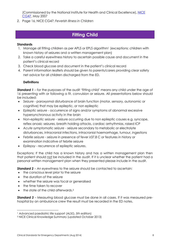(Commissioned by the National Institute for Health and Clinical Excellence), NICE [CG47,](http://www.nice.org.uk/CG47) May 2007

*2.* Page 16, NICE CG47: *Feverish Illness in Children*

# **Fitting Child**

## <span id="page-7-0"></span>**Standards**

- 1. Manage all fitting children as per APLS or EPLS algorithm<sup>1</sup> (exceptions: children with known history of seizures and a written management plan)
- 2. Take a careful eyewitness history to ascertain possible cause and document in the patient's clinical record
- 3. Check blood glucose and document in the patient's clinical record
- 4. Parent information leaflets should be given to parents/carers providing clear safety net advice for all children discharged from the ED.

## **Definitions**

*Standard 1* – for the purposes of the audit 'fitting child' means any child under the age of 16 presenting with or following a fit, convulsion or seizure. All presentations below should be included:

- *Seizure* paroxysmal disturbance of brain function (motor, sensory, autonomic or cognitive) that may be epileptic, or non epileptic
- *Epileptic seizure* occurrence of signs and/or symptoms of abnormal excessive hypersynchronous activity in the brain
- *Non-epileptic seizure* seizure occurring due to non epileptic causes e.g. syncope, reflex anoxic seizures, breath holding attacks, cardiac arrhythmias, raised ICP
- *Acute symptomatic seizure* seizure secondary to metabolic or electrolyte disturbances, intracranial infections, intracranial haemorrhage, tumour, ingestions
- *Febrile seizure* seizure in presence of fever ≥37.8 C or features in history or examination indicative of febrile seizure
- *Epilepsy* recurrence of epileptic seizures.

Exceptions: If the child has a known history and has a written management plan then that patient should not be included in the audit. If it is unclear whether the patient had a personal written management plan when they presented please include in the audit.

*Standard 2 – An eyewitness to the seizure should be contacted to ascertain:* 

- the conscious level prior to the seizure
- the duration of the seizure
- whether the seizure was focal or generalised
- the time taken to recover

the state of the child afterwards.<sup>2</sup>

*Standard 3* – Measuring blood glucose must be done in all cases. If it was measured prehospital by an ambulance crew the result must be recorded in the ED notes.

<sup>&</sup>lt;sup>1</sup> Advanced paediatric life support (ALSG, 5th edition)

<sup>2</sup> NICE Clinical Knowledge Summary (updated October 2013)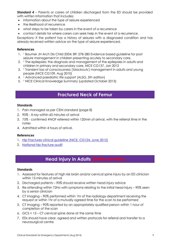*Standard 4* – Parents or carers of children discharged from the ED should be provided with written information that includes:

- information about the type of seizure experienced
- the likelihood of recurrence
- what steps to be taken by carers in the event of a recurrence
- contact details for where carers can seek help in the event of a recurrence.

Exceptions: if the patient has a history of seizures with a diagnosed condition and has already received written advice on the type of seizure experienced.

#### **References**

- 1. <sup>1</sup> Baumer JH Arch Dis Child 2004; 89: 278-280 Evidence based guideline for post seizure management in children presenting acutely to secondary care.
- 2. <sup>1</sup> The epilepsies: the diagnosis and management of the epilepsies in adults and children in primary and secondary care, NICE CG137, Jan 2012
- 3. <sup>1</sup> Transient loss of consciousness ('blackouts') management in adults and young people (NICE CG109, Aug 2010)
- 4. <sup>1</sup> Advanced paediatric life support (ALSG, 5th edition)
- <span id="page-8-0"></span>5. <sup>1</sup> NICE Clinical Knowledge Summary (updated October 2013)

## **Fractured Neck of Femur**

#### **Standards**

- 1. Pain managed as per CEM standard (page 8)
- 2. 90% X-ray within 60 minutes of arrival
- 3. 75% confirmed #NOF referred within 120min of arrival, with the referral time in the notes
- 4. Admitted within 4 hours of arrival.

#### **References**

- 1. [Hip Fractures clinical guideline \(NICE, CG124, June 2012\)](http://www.nice.org.uk/CG124)
- 2. [National hip fracture audit](http://www.nhfd.co.uk/)

# **Head Injury in Adults (Under review)**

#### <span id="page-8-1"></span>**Standards**

- 1. Assessed for features of high risk brain and/or cervical spine injury by an ED clinician within 15 minutes of arrival
- 2. Discharged patients 90% should receive written head injury advice
- 3. Re-attending within 72hrs with symptoms relating to the initial head injury 90% seen by a senior clinician
- 4. CT imaging 90% performed within 1hr of the radiology department receiving the request or within 1hr of a mutually agreed time for the scan to be performed
- 5. CT imaging 90% reported by an appropriately qualified person within 1 hour of completion of the scan
- 6. GCS < 13 CT cervical spine done at the same time
- 7. EDs should have clear, agreed and written protocols for referral and transfer to a neurosurgical centre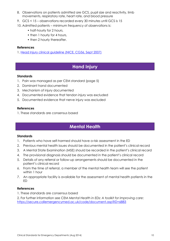- 8. Observations on patients admitted are GCS, pupil size and reactivity, limb movements, respiratory rate, heart rate, and blood pressure
- 9. GCS < 15 observations recorded every 30 minutes until GCS is 15
- 10. Admitted patients minimum frequency of observations is:
	- half-hourly for 2 hours,
	- then 1 hourly for 4 hours,
	- then 2 hourly thereafter.

#### **References**

1. [Head Injury clinical guideline \(NICE, CG56, Sept 2007\)](http://www.nice.org.uk/CG56)

## **Hand Injury**

#### <span id="page-9-0"></span>**Standards**

- 1. Pain was managed as per CEM standard (page 5)
- 2. Dominant hand documented
- 3. Mechanism of injury documented
- 4. Documented evidence that tendon injury was excluded
- 5. Documented evidence that nerve injury was excluded

#### **References**

<span id="page-9-1"></span>1. These standards are consensus based

# **Mental Health**

#### **Standards**

- 1. Patients who have self-harmed should have a risk assessment in the ED
- 2. Previous mental health issues should be documented in the patient's clinical record
- 3. A Mental State Examination (MSE) should be recorded in the patient's clinical record
- 4. The provisional diagnosis should be documented in the patient's clinical record
- 5. Details of any referral or follow-up arrangements should be documented in the patient's clinical record
- 6. From the time of referral, a member of the mental health team will see the patient within 1 hour
- 7. An appropriate facility is available for the assessment of mental health patients in the ED

- 1. These standards are consensus based
- 2. For further information see CEM *Mental Health in EDs: A toolkit for improving care*: <https://secure.collemergencymed.ac.uk/code/document.asp?ID=6883>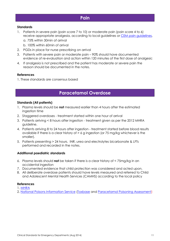## **Pain**

#### <span id="page-10-0"></span>**Standards**

- 1. Patients in severe pain (pain score 7 to 10) or moderate pain (pain score 4 to 6) receive appropriate analgesia, according to local guidelines or [CEM pain guidelines,](http://www.collemergencymed.ac.uk/Shop-Floor/Clinical%20Guidelines/Clinical%20Guidelines/default.asp)
	- a. 75% within 30min of arrival
	- b. 100% within 60min of arrival
- 2. PGDs in place for nurse prescribing on arrival
- 3. Patients with severe pain or moderate pain 90% should have documented evidence of re-evaluation and action within 120 minutes of the first dose of analgesic
- 4. If analgesia is not prescribed and the patient has moderate or severe pain the reason should be documented in the notes.

#### **References**

<span id="page-10-1"></span>1. These standards are consensus based

## **Paracetamol Overdose**

#### **Standards (All patients)**

- 1. Plasma levels should be **not** measured earlier than 4 hours after the estimated ingestion time
- 2. Staggered overdoses treatment started within one hour of arrival
- 3. Patients arriving < 8 hours after ingestion treatment given as per the 2012 MHRA guideline.
- 4. Patients arriving 8 to 24 hours after ingestion treatment started before blood results available if there is a clear history of > 6 g ingestion (or 75 mg/kg whichever is the smaller).
- 5. Patients presenting > 24 hours. INR, urea and electrolytes bicarbonate & LFTs performed and recorded in the notes.

#### **Additional paediatric standards**

- 6. Plasma levels should **not** be taken if there is a clear history of < 75mg/kg in an accidental ingestion
- 7. Documented evidence that child protection was considered and acted upon.
- 8. All deliberate overdose patients should have levels measured and referred to Child and Adolescent Mental Health Services (CAMHS) according to the local policy

#### **References**

1. [MHRA](http://www.mhra.gov.uk/Howweregulate/Medicines/Licensingofmedicines/Informationforlicenceapplicants/Guidance/OverdosesectionsofSPCs/Genericoverdosesections/Paracetamol/index.htm)

2. National [Poisons Information Service](http://www.npis.org/) [\(Toxbase](http://www.toxbase.org/) and [Paracetamol Poisoning Assessment\)](http://www.npis.org/paracetamolposter.pdf)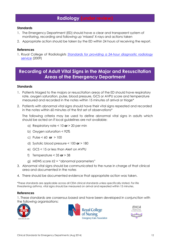## **Radiology (under review)**

#### <span id="page-11-0"></span>**Standards**

- 1. The Emergency Department (ED) should have a clear and transparent system of monitoring, recording and following up 'missed' X-rays and actions taken
- 2. Appropriate action should be taken by the ED within 24 hours of receiving the report.

#### **References**

1. Royal College of Radiologists *[Standards for providing a 24-hour diagnostic radiology](http://www.rcr.ac.uk/docs/radiology/pdf/BFCR(09)3_diagnostic24hr.pdf)  [service](http://www.rcr.ac.uk/docs/radiology/pdf/BFCR(09)3_diagnostic24hr.pdf)* (2009)

# <span id="page-11-1"></span>**Recording of Adult Vital Signs in the Major and Resuscitation Areas of the Emergency Department**

#### **Standards**

- 1. Patients triaged to the majors or resuscitation areas of the ED should have respiratory rate, oxygen saturation, pulse, blood pressure, GCS or AVPU score and temperature measured and recorded in the notes within 15 minutes of arrival or triage\*
- 2. Patients with abnormal vital signs should have their vital signs repeated and recorded in the notes within 60 minutes of the first set of observations\*

The following criteria may be used to define abnormal vital signs in adults which should be acted on if local guidelines are not available:

- a) Respiratory rate < 10 **or** > 20 per min
- b) Oxygen saturation < 92%
- c) Pulse < 60 **or** > 100
- d) Systolic blood pressure < 100 **or** > 180
- e) GCS < 15 or less than Alert on AVPU
- f) Temperature < 35 **or** > 38
- g) MEWS score ≥2 = "abnormal parameters"
- 3. Abnormal vital signs should be communicated to the nurse in charge of that clinical area and documented in the notes
- 4. There should be documented evidence that appropriate action was taken.

\*These standards are applicable across all CEM clinical standards unless specifically stated. For life threatening asthma, vital signs should be measured on arrival and repeated within 15 minutes.

#### **References**

1. These standards are consensus based and have been developed in conjunction with the following organisations:





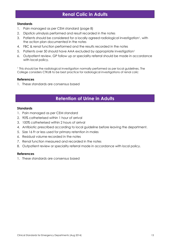# **Renal Colic in Adults**

#### <span id="page-12-0"></span>**Standards**

- 1. Pain managed as per CEM standard (page 8)
- 2. Dipstick urinalysis performed and result recorded in the notes
- 3. Patients should be considered for a locally agreed radiological investigation<sup>1</sup>, with the action plan documented in the notes
- 4. FBC & renal function performed and the results recorded in the notes
- 5. Patients over 50 should have AAA excluded by appropriate investigation<sup>1</sup>
- 6. Outpatient review, GP follow up or speciality referral should be made in accordance with local policy.

<sup>1</sup> This should be the radiological investigation normally performed as per local guidelines. The College considers CTKUB to be best practice for radiological investigations of renal colic

#### **References**

1. These standards are consensus based

## **Retention of Urine in Adults**

#### <span id="page-12-1"></span>**Standards**

- 1. Pain managed as per CEM standard
- 2. 90% catheterised within 1 hour of arrival
- 3. 100% catheterised within 2 hours of arrival
- 4. Antibiotic prescribed according to local guideline before leaving the department.
- 5. Size 16 Fr or less used for primary retention in males
- 6. Residual volume recorded in the notes
- 7. Renal function measured and recorded in the notes
- 8. Outpatient review or speciality referral made in accordance with local policy.

#### **References**

1. These standards are consensus based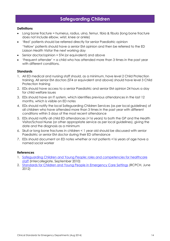# **Safeguarding Children**

#### <span id="page-13-0"></span>**Definitions**

- Long bone fracture = humerus, radius, ulna, femur, tibia & fibula (long bone fracture does not include elbow, wrist, knee or ankle)
- 'Red' patients should be referred directly for senior Paediatric opinion 'Yellow' patients should have a senior EM opinion and then be referred to the ED Liaison Health Visitor the next working day
- Senior doctor/opinion = ST4 (or equivalent) and above
- $\bullet$  'Frequent attender' = a child who has attended more than 3 times in the past year with different conditions.

#### **Standards**

- 1. All ED medical and nursing staff should, as a minimum, have level 2 Child Protection training. All senior EM doctors (ST4 or equivalent and above) should have level 3 Child Protection training
- 2. EDs should have access to a senior Paediatric and senior EM opinion 24 hours a day for child welfare issues
- 3. EDs should have an IT system, which identifies previous attendances in the last 12 months, which is visible on ED notes
- 4. EDs should notify the local Safeguarding Children Services (as per local guidelines) of all children who have attended more than 3 times in the past year with different conditions within 5 days of the most recent attendance
- 5. EDs should notify all child ED attendances (<16 years) to both the GP and the Health Visitor/School Nurse (or other appropriate service as per local guidelines), giving the date and the diagnosis as a minimum
- 6. Skull or long bone fractures in children < 1 year old should be discussed with senior Paediatric or senior EM doctor during their ED attendance
- 7. EDs should document on ED notes whether or not patients <16 years of age have a named social worker

- 1. [Safeguarding Children and Young People: roles and competencies for healthcare](http://secure.collemergencymed.ac.uk/code/document.asp?ID=6503)  [staff](http://secure.collemergencymed.ac.uk/code/document.asp?ID=6503) (Intercollegiate, September 2010)
- 2. [Standards for Children and Young People in Emergency Care Settings](http://www.rcpch.ac.uk/emergencycare) (RCPCH, June 2012)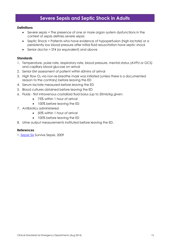## **Severe Sepsis and Septic Shock in Adults**

#### <span id="page-14-0"></span>**Definitions**

- Severe sepsis = The presence of one or more organ system dysfunctions in the context of sepsis defines severe sepsis
- Septic Shock = Patients who have evidence of hypoperfusion (high lactate) or a persistently low blood pressure after initial fluid resuscitation have septic shock
- Senior doctor = ST4 (or equivalent) and above

#### **Standards**

- 1. Temperature, pulse rate, respiratory rate, blood pressure, mental status (AVPU or GCS) and capillary blood glucose on arrival
- 2. Senior EM assessment of patient within 60mins of arrival
- 3. High flow O<sup>2</sup> via non-re-breathe mask was initiated (unless there is a documented reason to the contrary) before leaving the ED
- 4. Serum lactate measured before leaving the ED
- 5. Blood cultures obtained before leaving the ED
- 6. Fluids first intravenous crystalloid fluid bolus (up to 20mls/kg given:
	- 75% within 1 hour of arrival
	- 100% before leaving the ED
- 7. Antibiotics administered
	- 50% within 1 hour of arrival
	- 100% before leaving the ED
- 8. Urine output measurements instituted before leaving the ED.

#### **References**

1. [Sepsis Six](http://www.survivesepsis.org/) Survive Sepsis, 2009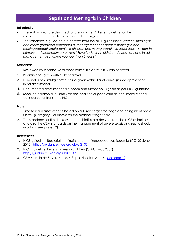# **Sepsis and Meningitis in Children**

#### <span id="page-15-0"></span>**Introduction**

- These standards are designed for use with the College guideline for the management of paediatric sepsis and meningitis
- The standards & guideline are derived from the NICE guidelines *"Bacterial meningitis and meningococcal septicaemia: management of bacterial meningitis and meningococcal septicaemia in children and young people younger than 16 years in primary and secondary care"* **and "***Feverish illness in children: Assessment and initial management in children younger than 5 years".*

#### **Standards**

- 1. Reviewed by a senior EM or paediatric clinician within 30min of arrival
- 2. IV antibiotics given within 1hr of arrival
- 3. Fluid bolus of 20ml/kg normal saline given within 1hr of arrival (if shock present on initial assessment)
- 4. Documented assessment of response and further bolus given as per NICE guideline
- 5. Shocked children discussed with the local senior paediatrician and intensivist and considered for transfer to PICU.

#### **Notes**

- 1. Time to initial assessment is based on a 15min target for triage and being identified as unwell (Category 2 or above on the National triage scale)
- 2. The standards for fluid boluses and antibiotics are derived from the NICE guidelines and also the CEM standards on the management of severe sepsis and septic shock in adults (see page 12).

- 1. NICE guideline: Bacterial meningitis and meningococcal septicaemia (CG102,June 2010) <http://guidance.nice.org.uk/CG102>
- 2. NICE guideline: Feverish illness in children (CG47, May 2007) <http://guidance.nice.org.uk/CG47>
- 3. CEM standards: Severe sepsis & Septic shock in Adults [\(see page 12\)](#page-14-0)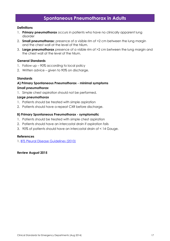## **Spontaneous Pneumothorax in Adults**

#### <span id="page-16-0"></span>**Definitions**

- 1. **Primary pneumothorax** occurs in patients who have no clinically apparent lung disorder
- 2. **Small pneumothorax:** presence of a visible rim of <2 cm between the lung margin and the chest wall at the level of the hilum.
- 3. **Large pneumothorax** presence of a visible rim of >2 cm between the lung margin and the chest wall at the level of the hilum.

#### **General Standards**

- 1. Follow up 90% according to local policy
- 2. Written advice given to 90% on discharge.

#### **Standards**

## **A) Primary Spontaneous Pneumothorax - minimal symptoms** *Small pneumothorax*

1. Simple chest aspiration should not be performed.

#### *Large pneumothorax*

- 1. Patients should be treated with simple aspiration
- 2. Patients should have a repeat CXR before discharge.

#### **B) Primary Spontaneous Pneumothorax - symptomatic**

- 1. Patients should be treated with simple chest aspiration
- 2. Patients should have an intercostal drain if aspiration fails
- 3. 90% of patients should have an intercostal drain of < 14 Gauge.

#### **References**

1. [BTS Pleural Disease Guidelines \(2010\)](http://www.brit-thoracic.org.uk/guidelines/pleural-disease-guidelines-2010.aspx)

**Review August 2015**